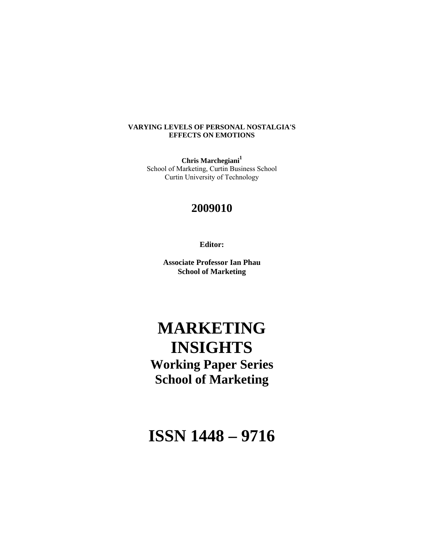# **VARYING LEVELS OF PERSONAL NOSTALGIA'S EFFECTS ON EMOTIONS**

**Chris Marchegiani<sup>1</sup>** School of Marketing, Curtin Business School Curtin University of Technology

# **2009010**

**Editor:** 

**Associate Professor Ian Phau School of Marketing** 

# **MARKETING INSIGHTS**

**Working Paper Series School of Marketing** 

**ISSN 1448 – 9716**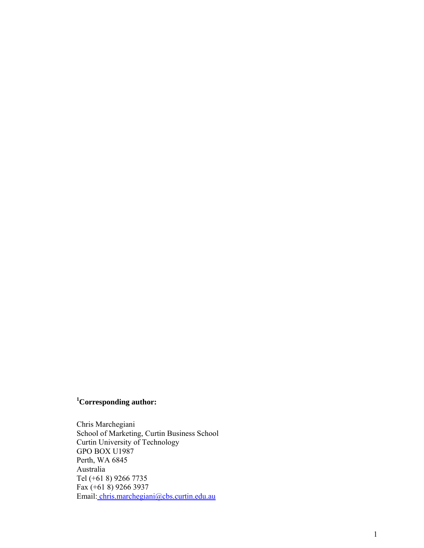# **1 Corresponding author:**

Chris Marchegiani School of Marketing, Curtin Business School Curtin University of Technology GPO BOX U1987 Perth, WA 6845 Australia Tel (+61 8) 9266 7735 Fax (+61 8) 9266 3937 Email: chris.marchegiani@cbs.curtin.edu.au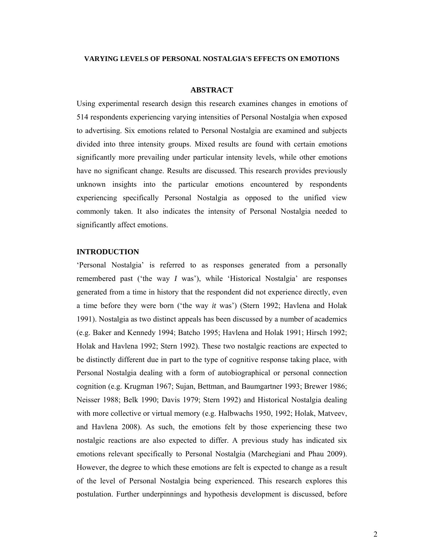#### **VARYING LEVELS OF PERSONAL NOSTALGIA'S EFFECTS ON EMOTIONS**

#### **ABSTRACT**

Using experimental research design this research examines changes in emotions of 514 respondents experiencing varying intensities of Personal Nostalgia when exposed to advertising. Six emotions related to Personal Nostalgia are examined and subjects divided into three intensity groups. Mixed results are found with certain emotions significantly more prevailing under particular intensity levels, while other emotions have no significant change. Results are discussed. This research provides previously unknown insights into the particular emotions encountered by respondents experiencing specifically Personal Nostalgia as opposed to the unified view commonly taken. It also indicates the intensity of Personal Nostalgia needed to significantly affect emotions.

# **INTRODUCTION**

'Personal Nostalgia' is referred to as responses generated from a personally remembered past ('the way *I* was'), while 'Historical Nostalgia' are responses generated from a time in history that the respondent did not experience directly, even a time before they were born ('the way *it* was') (Stern 1992; Havlena and Holak 1991). Nostalgia as two distinct appeals has been discussed by a number of academics (e.g. Baker and Kennedy 1994; Batcho 1995; Havlena and Holak 1991; Hirsch 1992; Holak and Havlena 1992; Stern 1992). These two nostalgic reactions are expected to be distinctly different due in part to the type of cognitive response taking place, with Personal Nostalgia dealing with a form of autobiographical or personal connection cognition (e.g. Krugman 1967; Sujan, Bettman, and Baumgartner 1993; Brewer 1986; Neisser 1988; Belk 1990; Davis 1979; Stern 1992) and Historical Nostalgia dealing with more collective or virtual memory (e.g. Halbwachs 1950, 1992; Holak, Matveev, and Havlena 2008). As such, the emotions felt by those experiencing these two nostalgic reactions are also expected to differ. A previous study has indicated six emotions relevant specifically to Personal Nostalgia (Marchegiani and Phau 2009). However, the degree to which these emotions are felt is expected to change as a result of the level of Personal Nostalgia being experienced. This research explores this postulation. Further underpinnings and hypothesis development is discussed, before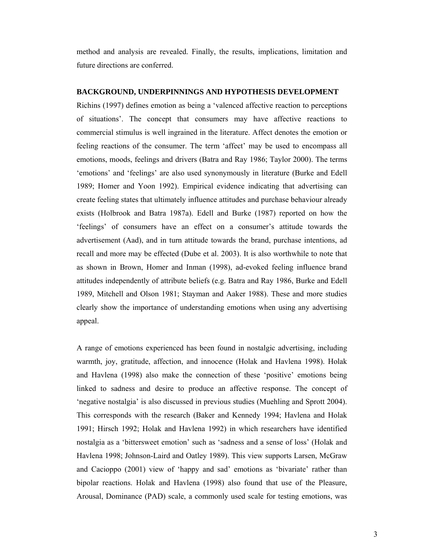method and analysis are revealed. Finally, the results, implications, limitation and future directions are conferred.

# **BACKGROUND, UNDERPINNINGS AND HYPOTHESIS DEVELOPMENT**

Richins (1997) defines emotion as being a 'valenced affective reaction to perceptions of situations'. The concept that consumers may have affective reactions to commercial stimulus is well ingrained in the literature. Affect denotes the emotion or feeling reactions of the consumer. The term 'affect' may be used to encompass all emotions, moods, feelings and drivers (Batra and Ray 1986; Taylor 2000). The terms 'emotions' and 'feelings' are also used synonymously in literature (Burke and Edell 1989; Homer and Yoon 1992). Empirical evidence indicating that advertising can create feeling states that ultimately influence attitudes and purchase behaviour already exists (Holbrook and Batra 1987a). Edell and Burke (1987) reported on how the 'feelings' of consumers have an effect on a consumer's attitude towards the advertisement (Aad), and in turn attitude towards the brand, purchase intentions, ad recall and more may be effected (Dube et al. 2003). It is also worthwhile to note that as shown in Brown, Homer and Inman (1998), ad-evoked feeling influence brand attitudes independently of attribute beliefs (e.g. Batra and Ray 1986, Burke and Edell 1989, Mitchell and Olson 1981; Stayman and Aaker 1988). These and more studies clearly show the importance of understanding emotions when using any advertising appeal.

A range of emotions experienced has been found in nostalgic advertising, including warmth, joy, gratitude, affection, and innocence (Holak and Havlena 1998). Holak and Havlena (1998) also make the connection of these 'positive' emotions being linked to sadness and desire to produce an affective response. The concept of 'negative nostalgia' is also discussed in previous studies (Muehling and Sprott 2004). This corresponds with the research (Baker and Kennedy 1994; Havlena and Holak 1991; Hirsch 1992; Holak and Havlena 1992) in which researchers have identified nostalgia as a 'bittersweet emotion' such as 'sadness and a sense of loss' (Holak and Havlena 1998; Johnson-Laird and Oatley 1989). This view supports Larsen, McGraw and Cacioppo (2001) view of 'happy and sad' emotions as 'bivariate' rather than bipolar reactions. Holak and Havlena (1998) also found that use of the Pleasure, Arousal, Dominance (PAD) scale, a commonly used scale for testing emotions, was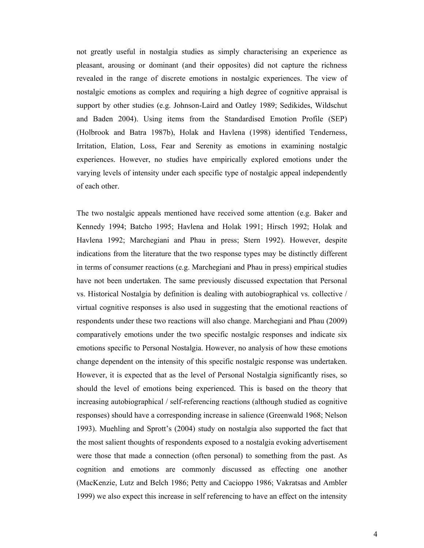not greatly useful in nostalgia studies as simply characterising an experience as pleasant, arousing or dominant (and their opposites) did not capture the richness revealed in the range of discrete emotions in nostalgic experiences. The view of nostalgic emotions as complex and requiring a high degree of cognitive appraisal is support by other studies (e.g. Johnson-Laird and Oatley 1989; Sedikides, Wildschut and Baden 2004). Using items from the Standardised Emotion Profile (SEP) (Holbrook and Batra 1987b), Holak and Havlena (1998) identified Tenderness, Irritation, Elation, Loss, Fear and Serenity as emotions in examining nostalgic experiences. However, no studies have empirically explored emotions under the varying levels of intensity under each specific type of nostalgic appeal independently of each other.

The two nostalgic appeals mentioned have received some attention (e.g. Baker and Kennedy 1994; Batcho 1995; Havlena and Holak 1991; Hirsch 1992; Holak and Havlena 1992; Marchegiani and Phau in press; Stern 1992). However, despite indications from the literature that the two response types may be distinctly different in terms of consumer reactions (e.g. Marchegiani and Phau in press) empirical studies have not been undertaken. The same previously discussed expectation that Personal vs. Historical Nostalgia by definition is dealing with autobiographical vs. collective / virtual cognitive responses is also used in suggesting that the emotional reactions of respondents under these two reactions will also change. Marchegiani and Phau (2009) comparatively emotions under the two specific nostalgic responses and indicate six emotions specific to Personal Nostalgia. However, no analysis of how these emotions change dependent on the intensity of this specific nostalgic response was undertaken. However, it is expected that as the level of Personal Nostalgia significantly rises, so should the level of emotions being experienced. This is based on the theory that increasing autobiographical / self-referencing reactions (although studied as cognitive responses) should have a corresponding increase in salience (Greenwald 1968; Nelson 1993). Muehling and Sprott's (2004) study on nostalgia also supported the fact that the most salient thoughts of respondents exposed to a nostalgia evoking advertisement were those that made a connection (often personal) to something from the past. As cognition and emotions are commonly discussed as effecting one another (MacKenzie, Lutz and Belch 1986; Petty and Cacioppo 1986; Vakratsas and Ambler 1999) we also expect this increase in self referencing to have an effect on the intensity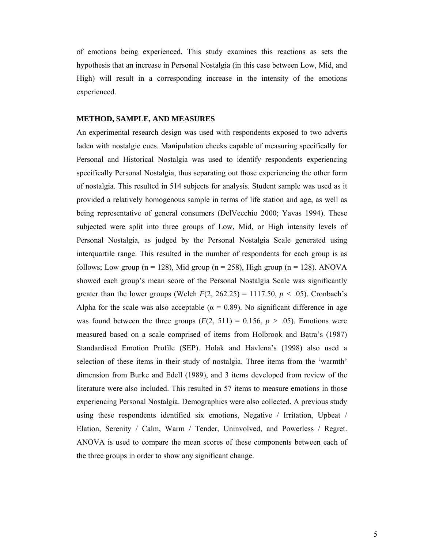of emotions being experienced. This study examines this reactions as sets the hypothesis that an increase in Personal Nostalgia (in this case between Low, Mid, and High) will result in a corresponding increase in the intensity of the emotions experienced.

#### **METHOD, SAMPLE, AND MEASURES**

An experimental research design was used with respondents exposed to two adverts laden with nostalgic cues. Manipulation checks capable of measuring specifically for Personal and Historical Nostalgia was used to identify respondents experiencing specifically Personal Nostalgia, thus separating out those experiencing the other form of nostalgia. This resulted in 514 subjects for analysis. Student sample was used as it provided a relatively homogenous sample in terms of life station and age, as well as being representative of general consumers (DelVecchio 2000; Yavas 1994). These subjected were split into three groups of Low, Mid, or High intensity levels of Personal Nostalgia, as judged by the Personal Nostalgia Scale generated using interquartile range. This resulted in the number of respondents for each group is as follows; Low group ( $n = 128$ ), Mid group ( $n = 258$ ), High group ( $n = 128$ ). ANOVA showed each group's mean score of the Personal Nostalgia Scale was significantly greater than the lower groups (Welch  $F(2, 262.25) = 1117.50$ ,  $p < .05$ ). Cronbach's Alpha for the scale was also acceptable ( $\alpha = 0.89$ ). No significant difference in age was found between the three groups  $(F(2, 511) = 0.156, p > .05)$ . Emotions were measured based on a scale comprised of items from Holbrook and Batra's (1987) Standardised Emotion Profile (SEP). Holak and Havlena's (1998) also used a selection of these items in their study of nostalgia. Three items from the 'warmth' dimension from Burke and Edell (1989), and 3 items developed from review of the literature were also included. This resulted in 57 items to measure emotions in those experiencing Personal Nostalgia. Demographics were also collected. A previous study using these respondents identified six emotions, Negative / Irritation, Upbeat / Elation, Serenity / Calm, Warm / Tender, Uninvolved, and Powerless / Regret. ANOVA is used to compare the mean scores of these components between each of the three groups in order to show any significant change.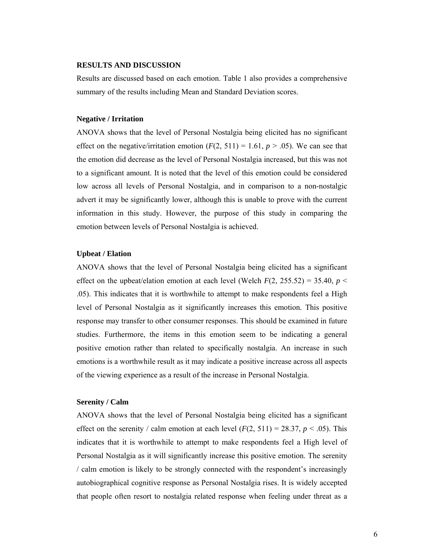# **RESULTS AND DISCUSSION**

Results are discussed based on each emotion. Table 1 also provides a comprehensive summary of the results including Mean and Standard Deviation scores.

#### **Negative / Irritation**

ANOVA shows that the level of Personal Nostalgia being elicited has no significant effect on the negative/irritation emotion  $(F(2, 511) = 1.61, p > .05)$ . We can see that the emotion did decrease as the level of Personal Nostalgia increased, but this was not to a significant amount. It is noted that the level of this emotion could be considered low across all levels of Personal Nostalgia, and in comparison to a non-nostalgic advert it may be significantly lower, although this is unable to prove with the current information in this study. However, the purpose of this study in comparing the emotion between levels of Personal Nostalgia is achieved.

#### **Upbeat / Elation**

ANOVA shows that the level of Personal Nostalgia being elicited has a significant effect on the upbeat/elation emotion at each level (Welch  $F(2, 255.52) = 35.40$ ,  $p <$ .05). This indicates that it is worthwhile to attempt to make respondents feel a High level of Personal Nostalgia as it significantly increases this emotion. This positive response may transfer to other consumer responses. This should be examined in future studies. Furthermore, the items in this emotion seem to be indicating a general positive emotion rather than related to specifically nostalgia. An increase in such emotions is a worthwhile result as it may indicate a positive increase across all aspects of the viewing experience as a result of the increase in Personal Nostalgia.

## **Serenity / Calm**

ANOVA shows that the level of Personal Nostalgia being elicited has a significant effect on the serenity / calm emotion at each level  $(F(2, 511) = 28.37, p < .05)$ . This indicates that it is worthwhile to attempt to make respondents feel a High level of Personal Nostalgia as it will significantly increase this positive emotion. The serenity / calm emotion is likely to be strongly connected with the respondent's increasingly autobiographical cognitive response as Personal Nostalgia rises. It is widely accepted that people often resort to nostalgia related response when feeling under threat as a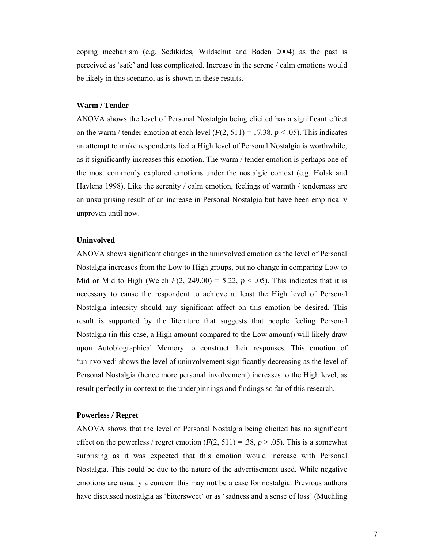coping mechanism (e.g. Sedikides, Wildschut and Baden 2004) as the past is perceived as 'safe' and less complicated. Increase in the serene / calm emotions would be likely in this scenario, as is shown in these results.

#### **Warm / Tender**

ANOVA shows the level of Personal Nostalgia being elicited has a significant effect on the warm / tender emotion at each level  $(F(2, 511) = 17.38, p < .05)$ . This indicates an attempt to make respondents feel a High level of Personal Nostalgia is worthwhile, as it significantly increases this emotion. The warm / tender emotion is perhaps one of the most commonly explored emotions under the nostalgic context (e.g. Holak and Havlena 1998). Like the serenity / calm emotion, feelings of warmth / tenderness are an unsurprising result of an increase in Personal Nostalgia but have been empirically unproven until now.

# **Uninvolved**

ANOVA shows significant changes in the uninvolved emotion as the level of Personal Nostalgia increases from the Low to High groups, but no change in comparing Low to Mid or Mid to High (Welch  $F(2, 249.00) = 5.22$ ,  $p < .05$ ). This indicates that it is necessary to cause the respondent to achieve at least the High level of Personal Nostalgia intensity should any significant affect on this emotion be desired. This result is supported by the literature that suggests that people feeling Personal Nostalgia (in this case, a High amount compared to the Low amount) will likely draw upon Autobiographical Memory to construct their responses. This emotion of 'uninvolved' shows the level of uninvolvement significantly decreasing as the level of Personal Nostalgia (hence more personal involvement) increases to the High level, as result perfectly in context to the underpinnings and findings so far of this research.

#### **Powerless / Regret**

ANOVA shows that the level of Personal Nostalgia being elicited has no significant effect on the powerless / regret emotion  $(F(2, 511) = .38, p > .05)$ . This is a somewhat surprising as it was expected that this emotion would increase with Personal Nostalgia. This could be due to the nature of the advertisement used. While negative emotions are usually a concern this may not be a case for nostalgia. Previous authors have discussed nostalgia as 'bittersweet' or as 'sadness and a sense of loss' (Muehling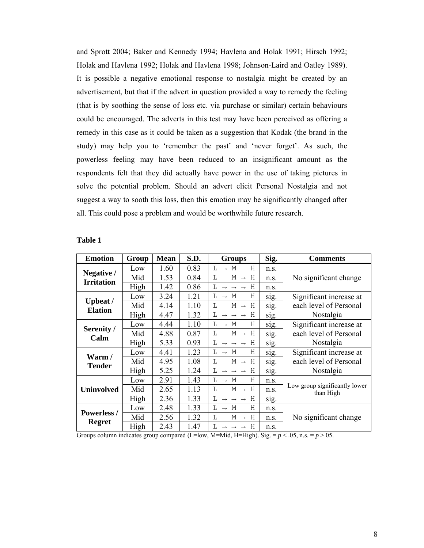and Sprott 2004; Baker and Kennedy 1994; Havlena and Holak 1991; Hirsch 1992; Holak and Havlena 1992; Holak and Havlena 1998; Johnson-Laird and Oatley 1989). It is possible a negative emotional response to nostalgia might be created by an advertisement, but that if the advert in question provided a way to remedy the feeling (that is by soothing the sense of loss etc. via purchase or similar) certain behaviours could be encouraged. The adverts in this test may have been perceived as offering a remedy in this case as it could be taken as a suggestion that Kodak (the brand in the study) may help you to 'remember the past' and 'never forget'. As such, the powerless feeling may have been reduced to an insignificant amount as the respondents felt that they did actually have power in the use of taking pictures in solve the potential problem. Should an advert elicit Personal Nostalgia and not suggest a way to sooth this loss, then this emotion may be significantly changed after all. This could pose a problem and would be worthwhile future research.

| <b>Emotion</b>                      | Group | <b>Mean</b> | S.D. | <b>Groups</b>                                       | Sig. | <b>Comments</b>                            |
|-------------------------------------|-------|-------------|------|-----------------------------------------------------|------|--------------------------------------------|
| Negative /<br><b>Irritation</b>     | Low   | 1.60        | 0.83 | $\rightarrow$ M<br>H<br>L                           | n.s. |                                            |
|                                     | Mid   | 1.53        | 0.84 | L<br>$M \rightarrow$<br>H                           | n.S. | No significant change                      |
|                                     | High  | 1.42        | 0.86 | H<br>L<br>$\rightarrow$ $\rightarrow$ $\rightarrow$ | n.s. |                                            |
| <b>Upbeat</b> /<br><b>Elation</b>   | Low   | 3.24        | 1.21 | L<br>$\rightarrow$ M<br>Н                           | sig. | Significant increase at                    |
|                                     | Mid   | 4.14        | 1.10 | $M \rightarrow H$<br>L                              | sig. | each level of Personal                     |
|                                     | High  | 4.47        | 1.32 | L<br>$\rightarrow$ $\rightarrow$ $\rightarrow$ H    | sig. | Nostalgia                                  |
| Serenity /<br>Calm                  | Low   | 4.44        | 1.10 | L<br>$\rightarrow$ M<br>Н                           | sig. | Significant increase at                    |
|                                     | Mid   | 4.88        | 0.87 | L<br>$M \rightarrow H$                              | sig. | each level of Personal                     |
|                                     | High  | 5.33        | 0.93 | L<br>$\rightarrow$ $\rightarrow$ $\rightarrow$ H    | sig. | Nostalgia                                  |
| Warm/<br><b>Tender</b>              | Low   | 4.41        | 1.23 | T.<br>$\rightarrow$ M<br>H                          | sig. | Significant increase at                    |
|                                     | Mid   | 4.95        | 1.08 | L<br>$M \rightarrow H$                              | sig. | each level of Personal                     |
|                                     | High  | 5.25        | 1.24 | L<br>$\rightarrow$ $\rightarrow$ $\rightarrow$ H    | sig. | Nostalgia                                  |
| <b>Uninvolved</b>                   | Low   | 2.91        | 1.43 | Η<br>L<br>$\rightarrow$ M                           | n.s. |                                            |
|                                     | Mid   | 2.65        | 1.13 | L<br>$M \rightarrow H$                              | n.s. | Low group significantly lower<br>than High |
|                                     | High  | 2.36        | 1.33 | Η<br>L<br>$\rightarrow$ $\rightarrow$ $\rightarrow$ | sig. |                                            |
| <b>Powerless /</b><br><b>Regret</b> | Low   | 2.48        | 1.33 | L<br>Н<br>М<br>$\rightarrow$                        | n.s. |                                            |
|                                     | Mid   | 2.56        | 1.32 | L<br>Н<br>М<br>$\rightarrow$                        | n.s. | No significant change                      |
|                                     | High  | 2.43        | 1.47 | L<br>Η<br>$\rightarrow$ $\rightarrow$ $\rightarrow$ | n.s. |                                            |

#### **Table 1**

Groups column indicates group compared (L=low, M=Mid, H=High). Sig. =  $p < .05$ , n.s. =  $p > 05$ .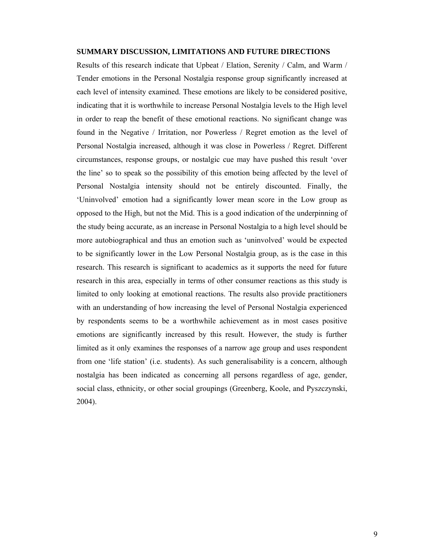#### **SUMMARY DISCUSSION, LIMITATIONS AND FUTURE DIRECTIONS**

Results of this research indicate that Upbeat / Elation, Serenity / Calm, and Warm / Tender emotions in the Personal Nostalgia response group significantly increased at each level of intensity examined. These emotions are likely to be considered positive, indicating that it is worthwhile to increase Personal Nostalgia levels to the High level in order to reap the benefit of these emotional reactions. No significant change was found in the Negative / Irritation, nor Powerless / Regret emotion as the level of Personal Nostalgia increased, although it was close in Powerless / Regret. Different circumstances, response groups, or nostalgic cue may have pushed this result 'over the line' so to speak so the possibility of this emotion being affected by the level of Personal Nostalgia intensity should not be entirely discounted. Finally, the 'Uninvolved' emotion had a significantly lower mean score in the Low group as opposed to the High, but not the Mid. This is a good indication of the underpinning of the study being accurate, as an increase in Personal Nostalgia to a high level should be more autobiographical and thus an emotion such as 'uninvolved' would be expected to be significantly lower in the Low Personal Nostalgia group, as is the case in this research. This research is significant to academics as it supports the need for future research in this area, especially in terms of other consumer reactions as this study is limited to only looking at emotional reactions. The results also provide practitioners with an understanding of how increasing the level of Personal Nostalgia experienced by respondents seems to be a worthwhile achievement as in most cases positive emotions are significantly increased by this result. However, the study is further limited as it only examines the responses of a narrow age group and uses respondent from one 'life station' (i.e. students). As such generalisability is a concern, although nostalgia has been indicated as concerning all persons regardless of age, gender, social class, ethnicity, or other social groupings (Greenberg, Koole, and Pyszczynski, 2004).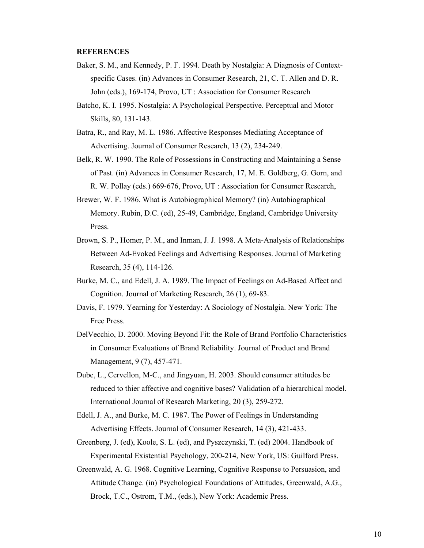#### **REFERENCES**

- Baker, S. M., and Kennedy, P. F. 1994. Death by Nostalgia: A Diagnosis of Contextspecific Cases. (in) Advances in Consumer Research, 21, C. T. Allen and D. R. John (eds.), 169-174, Provo, UT : Association for Consumer Research
- Batcho, K. I. 1995. Nostalgia: A Psychological Perspective. Perceptual and Motor Skills, 80, 131-143.
- Batra, R., and Ray, M. L. 1986. Affective Responses Mediating Acceptance of Advertising. Journal of Consumer Research, 13 (2), 234-249.
- Belk, R. W. 1990. The Role of Possessions in Constructing and Maintaining a Sense of Past. (in) Advances in Consumer Research, 17, M. E. Goldberg, G. Gorn, and R. W. Pollay (eds.) 669-676, Provo, UT : Association for Consumer Research,
- Brewer, W. F. 1986. What is Autobiographical Memory? (in) Autobiographical Memory. Rubin, D.C. (ed), 25-49, Cambridge, England, Cambridge University Press.
- Brown, S. P., Homer, P. M., and Inman, J. J. 1998. A Meta-Analysis of Relationships Between Ad-Evoked Feelings and Advertising Responses. Journal of Marketing Research, 35 (4), 114-126.
- Burke, M. C., and Edell, J. A. 1989. The Impact of Feelings on Ad-Based Affect and Cognition. Journal of Marketing Research, 26 (1), 69-83.
- Davis, F. 1979. Yearning for Yesterday: A Sociology of Nostalgia. New York: The Free Press.
- DelVecchio, D. 2000. Moving Beyond Fit: the Role of Brand Portfolio Characteristics in Consumer Evaluations of Brand Reliability. Journal of Product and Brand Management, 9 (7), 457-471.
- Dube, L., Cervellon, M-C., and Jingyuan, H. 2003. Should consumer attitudes be reduced to thier affective and cognitive bases? Validation of a hierarchical model. International Journal of Research Marketing, 20 (3), 259-272.
- Edell, J. A., and Burke, M. C. 1987. The Power of Feelings in Understanding Advertising Effects. Journal of Consumer Research, 14 (3), 421-433.
- Greenberg, J. (ed), Koole, S. L. (ed), and Pyszczynski, T. (ed) 2004. Handbook of Experimental Existential Psychology, 200-214, New York, US: Guilford Press.
- Greenwald, A. G. 1968. Cognitive Learning, Cognitive Response to Persuasion, and Attitude Change. (in) Psychological Foundations of Attitudes, Greenwald, A.G., Brock, T.C., Ostrom, T.M., (eds.), New York: Academic Press.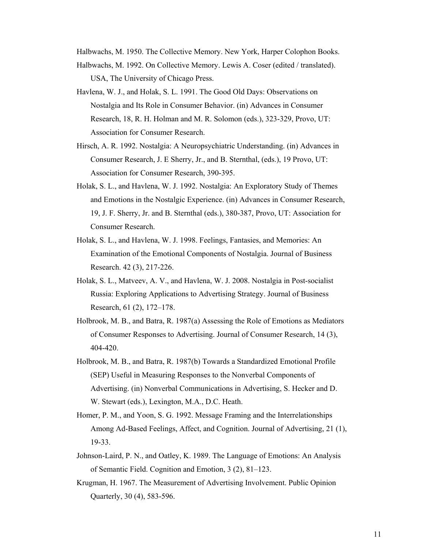Halbwachs, M. 1950. The Collective Memory. New York, Harper Colophon Books.

- Halbwachs, M. 1992. On Collective Memory. Lewis A. Coser (edited / translated). USA, The University of Chicago Press.
- Havlena, W. J., and Holak, S. L. 1991. The Good Old Days: Observations on Nostalgia and Its Role in Consumer Behavior. (in) Advances in Consumer Research, 18, R. H. Holman and M. R. Solomon (eds.), 323-329, Provo, UT: Association for Consumer Research.
- Hirsch, A. R. 1992. Nostalgia: A Neuropsychiatric Understanding. (in) Advances in Consumer Research, J. E Sherry, Jr., and B. Sternthal, (eds.), 19 Provo, UT: Association for Consumer Research, 390-395.
- Holak, S. L., and Havlena, W. J. 1992. Nostalgia: An Exploratory Study of Themes and Emotions in the Nostalgic Experience. (in) Advances in Consumer Research, 19, J. F. Sherry, Jr. and B. Sternthal (eds.), 380-387, Provo, UT: Association for Consumer Research.
- Holak, S. L., and Havlena, W. J. 1998. Feelings, Fantasies, and Memories: An Examination of the Emotional Components of Nostalgia. Journal of Business Research. 42 (3), 217-226.
- Holak, S. L., Matveev, A. V., and Havlena, W. J. 2008. Nostalgia in Post-socialist Russia: Exploring Applications to Advertising Strategy. Journal of Business Research, 61 (2), 172–178.
- Holbrook, M. B., and Batra, R. 1987(a) Assessing the Role of Emotions as Mediators of Consumer Responses to Advertising. Journal of Consumer Research, 14 (3), 404-420.
- Holbrook, M. B., and Batra, R. 1987(b) Towards a Standardized Emotional Profile (SEP) Useful in Measuring Responses to the Nonverbal Components of Advertising. (in) Nonverbal Communications in Advertising, S. Hecker and D. W. Stewart (eds.), Lexington, M.A., D.C. Heath.
- Homer, P. M., and Yoon, S. G. 1992. Message Framing and the Interrelationships Among Ad-Based Feelings, Affect, and Cognition. Journal of Advertising, 21 (1), 19-33.
- Johnson-Laird, P. N., and Oatley, K. 1989. The Language of Emotions: An Analysis of Semantic Field. Cognition and Emotion, 3 (2), 81–123.
- Krugman, H. 1967. The Measurement of Advertising Involvement. Public Opinion Quarterly, 30 (4), 583-596.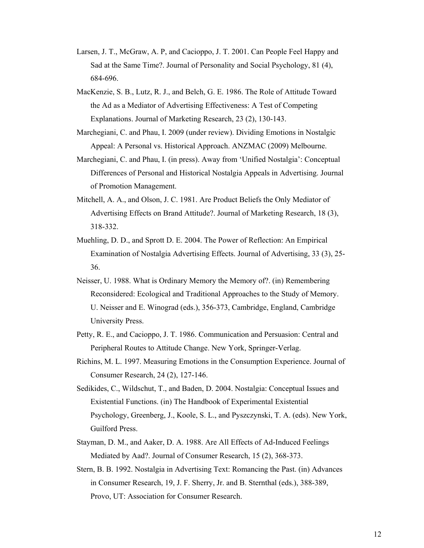- Larsen, J. T., McGraw, A. P, and Cacioppo, J. T. 2001. Can People Feel Happy and Sad at the Same Time?. Journal of Personality and Social Psychology, 81 (4), 684-696.
- MacKenzie, S. B., Lutz, R. J., and Belch, G. E. 1986. The Role of Attitude Toward the Ad as a Mediator of Advertising Effectiveness: A Test of Competing Explanations. Journal of Marketing Research, 23 (2), 130-143.
- Marchegiani, C. and Phau, I. 2009 (under review). Dividing Emotions in Nostalgic Appeal: A Personal vs. Historical Approach. ANZMAC (2009) Melbourne.
- Marchegiani, C. and Phau, I. (in press). Away from 'Unified Nostalgia': Conceptual Differences of Personal and Historical Nostalgia Appeals in Advertising. Journal of Promotion Management.
- Mitchell, A. A., and Olson, J. C. 1981. Are Product Beliefs the Only Mediator of Advertising Effects on Brand Attitude?. Journal of Marketing Research, 18 (3), 318-332.
- Muehling, D. D., and Sprott D. E. 2004. The Power of Reflection: An Empirical Examination of Nostalgia Advertising Effects. Journal of Advertising, 33 (3), 25- 36.
- Neisser, U. 1988. What is Ordinary Memory the Memory of?. (in) Remembering Reconsidered: Ecological and Traditional Approaches to the Study of Memory. U. Neisser and E. Winograd (eds.), 356-373, Cambridge, England, Cambridge University Press.
- Petty, R. E., and Cacioppo, J. T. 1986. Communication and Persuasion: Central and Peripheral Routes to Attitude Change. New York, Springer-Verlag.
- Richins, M. L. 1997. Measuring Emotions in the Consumption Experience. Journal of Consumer Research, 24 (2), 127-146.
- Sedikides, C., Wildschut, T., and Baden, D. 2004. Nostalgia: Conceptual Issues and Existential Functions. (in) The Handbook of Experimental Existential Psychology, Greenberg, J., Koole, S. L., and Pyszczynski, T. A. (eds). New York, Guilford Press.
- Stayman, D. M., and Aaker, D. A. 1988. Are All Effects of Ad-Induced Feelings Mediated by Aad?. Journal of Consumer Research, 15 (2), 368-373.
- Stern, B. B. 1992. Nostalgia in Advertising Text: Romancing the Past. (in) Advances in Consumer Research, 19, J. F. Sherry, Jr. and B. Sternthal (eds.), 388-389, Provo, UT: Association for Consumer Research.